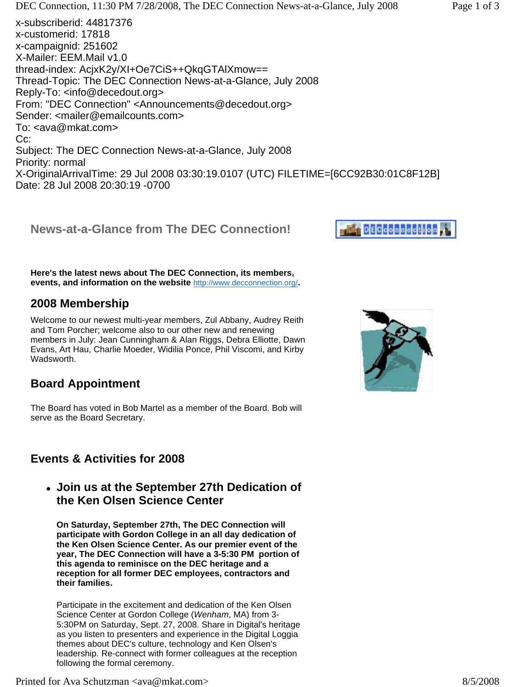$X \sim 30.9$  mas arrival must be sampled below. The fig.  $\sim 1$  ,  $\sim 1$  ,  $\sim 1$  and  $\sim 1$ Date: 28 Jul 2008 20:30:19 -0700

**News-at-a-Glance from The DEC Connection!**

**Here's the latest news about The DEC Connection, its members, events, and information on the website** http://www.decconnection.org/**.**

# **2008 Membership**

Welcome to our newest multi-year members, Zul Abbany, Audrey Reith and Tom Porcher; welcome also to our other new and renewing members in July: Jean Cunningham & Alan Riggs, Debra Elliotte, Dawn Evans, Art Hau, Charlie Moeder, Widilia Ponce, Phil Viscomi, and Kirby Wadsworth.

# **Board Appointment**

The Board has voted in Bob Martel as a member of the Board. Bob will serve as the Board Secretary.

# **Events & Activities for 2008**

**Join us at the September 27th Dedication of the Ken Olsen Science Center** 

**On Saturday, September 27th, The DEC Connection will participate with Gordon College in an all day dedication of the Ken Olsen Science Center. As our premier event of the year, The DEC Connection will have a 3-5:30 PM portion of this agenda to reminisce on the DEC heritage and a reception for all former DEC employees, contractors and their families.**

Participate in the excitement and dedication of the Ken Olsen Science Center at Gordon College (*Wenham*, MA) from 3- 5:30PM on Saturday, Sept. 27, 2008. Share in Digital's heritage as you listen to presenters and experience in the Digital Loggia themes about DEC's culture, technology and Ken Olsen's leadership. Re-connect with former colleagues at the reception following the formal ceremony.



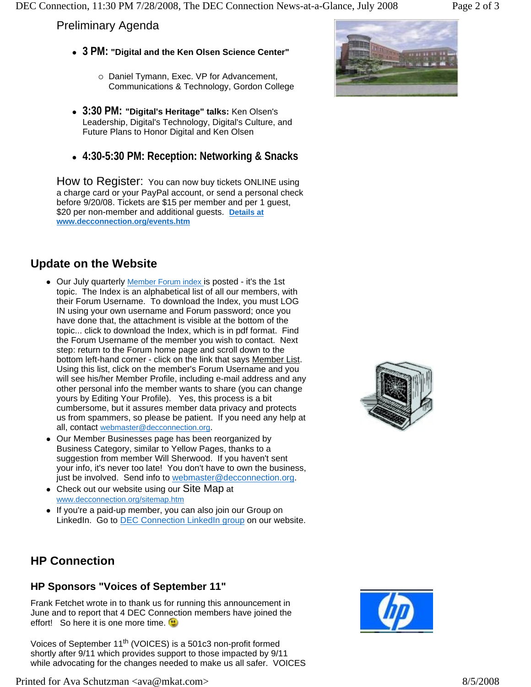### Preliminary Agenda

- <sup>z</sup> **3 PM: "Digital and the Ken Olsen Science Center"**
	- o Daniel Tymann, Exec. VP for Advancement, Communications & Technology, Gordon College
- <sup>z</sup> **3:30 PM: "Digital's Heritage" talks:** Ken Olsen's Leadership, Digital's Technology, Digital's Culture, and Future Plans to Honor Digital and Ken Olsen
- <sup>z</sup> **4:30-5:30 PM: Reception: Networking & Snacks**

How to Register: You can now buy tickets ONLINE using a charge card or your PayPal account, or send a personal check before 9/20/08. Tickets are \$15 per member and per 1 guest, \$20 per non-member and additional guests. **Details at www.decconnection.org/events.htm**

# **Update on the Website**

- Our July quarterly Member Forum index is posted it's the 1st topic. The Index is an alphabetical list of all our members, with their Forum Username. To download the Index, you must LOG IN using your own username and Forum password; once you have done that, the attachment is visible at the bottom of the topic... click to download the Index, which is in pdf format. Find the Forum Username of the member you wish to contact. Next step: return to the Forum home page and scroll down to the bottom left-hand corner - click on the link that says Member List. Using this list, click on the member's Forum Username and you will see his/her Member Profile, including e-mail address and any other personal info the member wants to share (you can change yours by Editing Your Profile). Yes, this process is a bit cumbersome, but it assures member data privacy and protects us from spammers, so please be patient. If you need any help at all, contact webmaster@decconnection.org.
- Our Member Businesses page has been reorganized by Business Category, similar to Yellow Pages, thanks to a suggestion from member Will Sherwood. If you haven't sent your info, it's never too late! You don't have to own the business, just be involved. Send info to webmaster@decconnection.org.
- Check out our website using our Site Map at www.decconnection.org/sitemap.htm
- If you're a paid-up member, you can also join our Group on LinkedIn. Go to **DEC Connection LinkedIn group on our website.**



# **HP Connection**

### **HP Sponsors "Voices of September 11"**

Frank Fetchet wrote in to thank us for running this announcement in June and to report that 4 DEC Connection members have joined the effort! So here it is one more time.

Voices of September 11<sup>th</sup> (VOICES) is a 501c3 non-profit formed shortly after 9/11 which provides support to those impacted by 9/11 while advocating for the changes needed to make us all safer. VOICES